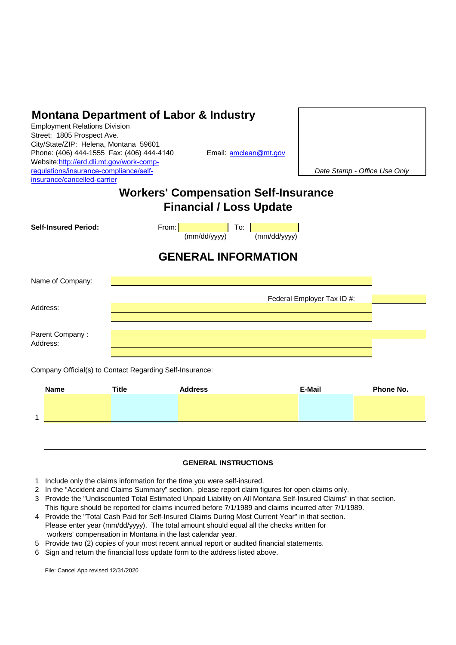| <b>Montana Department of Labor &amp; Industry</b><br><b>Employment Relations Division</b><br>Street: 1805 Prospect Ave.<br>City/State/ZIP: Helena, Montana 59601<br>Phone: (406) 444-1555 Fax: (406) 444-4140<br>Website:http://erd.dli.mt.gov/work-comp-<br>regulations/insurance-compliance/self-<br>insurance/cancelled-carrier |                            | Email: amclean@mt.gov                            | Date Stamp - Office Use Only |           |  |  |  |
|------------------------------------------------------------------------------------------------------------------------------------------------------------------------------------------------------------------------------------------------------------------------------------------------------------------------------------|----------------------------|--------------------------------------------------|------------------------------|-----------|--|--|--|
| <b>Workers' Compensation Self-Insurance</b>                                                                                                                                                                                                                                                                                        |                            |                                                  |                              |           |  |  |  |
| <b>Financial / Loss Update</b>                                                                                                                                                                                                                                                                                                     |                            |                                                  |                              |           |  |  |  |
|                                                                                                                                                                                                                                                                                                                                    |                            |                                                  |                              |           |  |  |  |
| <b>Self-Insured Period:</b>                                                                                                                                                                                                                                                                                                        | From:                      | To:<br>$\overline{(mm/dd/yyyy)}$<br>(mm/dd/yyyy) |                              |           |  |  |  |
| <b>GENERAL INFORMATION</b>                                                                                                                                                                                                                                                                                                         |                            |                                                  |                              |           |  |  |  |
| Name of Company:                                                                                                                                                                                                                                                                                                                   |                            |                                                  |                              |           |  |  |  |
| Address:                                                                                                                                                                                                                                                                                                                           | Federal Employer Tax ID #: |                                                  |                              |           |  |  |  |
|                                                                                                                                                                                                                                                                                                                                    |                            |                                                  |                              |           |  |  |  |
| Parent Company:                                                                                                                                                                                                                                                                                                                    |                            |                                                  |                              |           |  |  |  |
| Address:                                                                                                                                                                                                                                                                                                                           |                            |                                                  |                              |           |  |  |  |
|                                                                                                                                                                                                                                                                                                                                    |                            |                                                  |                              |           |  |  |  |
| Company Official(s) to Contact Regarding Self-Insurance:                                                                                                                                                                                                                                                                           |                            |                                                  |                              |           |  |  |  |
| <b>Name</b>                                                                                                                                                                                                                                                                                                                        | <b>Title</b>               | <b>Address</b>                                   | E-Mail                       | Phone No. |  |  |  |

#### **GENERAL INSTRUCTIONS**

- 1 Include only the claims information for the time you were self-insured.
- 2 In the "Accident and Claims Summary" section, please report claim figures for open claims only.
- 3 Provide the "Undiscounted Total Estimated Unpaid Liability on All Montana Self-Insured Claims" in that section. This figure should be reported for claims incurred before 7/1/1989 and claims incurred after 7/1/1989.
- 4 Provide the "Total Cash Paid for Self-Insured Claims During Most Current Year" in that section. Please enter year (mm/dd/yyyy). The total amount should equal all the checks written for workers' compensation in Montana in the last calendar year.
- 5 Provide two (2) copies of your most recent annual report or audited financial statements.
- 6 Sign and return the financial loss update form to the address listed above.

File: Cancel App revised 12/31/2020

1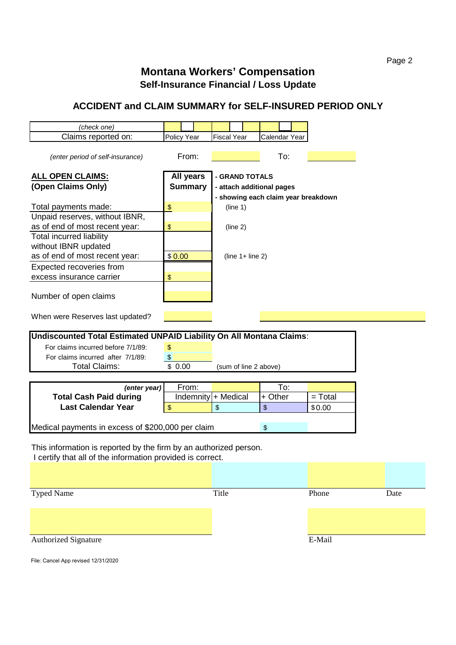## **Montana Workers' Compensation Self-Insurance Financial / Loss Update**

### **ACCIDENT and CLAIM SUMMARY for SELF-INSURED PERIOD ONLY**

| (check one)                                                                                                                     |                             |                       |                                                                  |                |                      |               |           |      |  |
|---------------------------------------------------------------------------------------------------------------------------------|-----------------------------|-----------------------|------------------------------------------------------------------|----------------|----------------------|---------------|-----------|------|--|
| Claims reported on:                                                                                                             |                             | Policy Year           | <b>Fiscal Year</b>                                               |                |                      | Calendar Year |           |      |  |
| (enter period of self-insurance)                                                                                                |                             | From:                 |                                                                  |                |                      | To:           |           |      |  |
| ALL OPEN CLAIMS:                                                                                                                |                             |                       |                                                                  | - GRAND TOTALS |                      |               |           |      |  |
| (Open Claims Only)                                                                                                              | All years<br><b>Summary</b> |                       |                                                                  |                |                      |               |           |      |  |
|                                                                                                                                 |                             |                       | - attach additional pages<br>- showing each claim year breakdown |                |                      |               |           |      |  |
| Total payments made:                                                                                                            |                             |                       | (line 1)                                                         |                |                      |               |           |      |  |
| Unpaid reserves, without IBNR,                                                                                                  | \$                          |                       |                                                                  |                |                      |               |           |      |  |
| as of end of most recent year:                                                                                                  | \$                          |                       | (line 2)                                                         |                |                      |               |           |      |  |
| <b>Total incurred liability</b>                                                                                                 |                             |                       |                                                                  |                |                      |               |           |      |  |
| without IBNR updated                                                                                                            |                             |                       |                                                                  |                |                      |               |           |      |  |
| as of end of most recent year:                                                                                                  | \$0.00                      |                       | $(line 1 + line 2)$                                              |                |                      |               |           |      |  |
| Expected recoveries from                                                                                                        |                             |                       |                                                                  |                |                      |               |           |      |  |
| excess insurance carrier                                                                                                        | \$                          |                       |                                                                  |                |                      |               |           |      |  |
|                                                                                                                                 |                             |                       |                                                                  |                |                      |               |           |      |  |
| Number of open claims                                                                                                           |                             |                       |                                                                  |                |                      |               |           |      |  |
|                                                                                                                                 |                             |                       |                                                                  |                |                      |               |           |      |  |
| When were Reserves last updated?                                                                                                |                             |                       |                                                                  |                |                      |               |           |      |  |
|                                                                                                                                 |                             |                       |                                                                  |                |                      |               |           |      |  |
| Undiscounted Total Estimated UNPAID Liability On All Montana Claims:                                                            |                             |                       |                                                                  |                |                      |               |           |      |  |
| For claims incurred before 7/1/89:                                                                                              | \$                          |                       |                                                                  |                |                      |               |           |      |  |
| For claims incurred after 7/1/89:                                                                                               | $\boldsymbol{\$}$           |                       |                                                                  |                |                      |               |           |      |  |
| <b>Total Claims:</b><br>\$0.00<br>(sum of line 2 above)                                                                         |                             |                       |                                                                  |                |                      |               |           |      |  |
|                                                                                                                                 |                             |                       |                                                                  |                |                      |               |           |      |  |
| (enter year)                                                                                                                    |                             | From:                 |                                                                  |                |                      | To:           |           |      |  |
| <b>Total Cash Paid during</b><br><b>Last Calendar Year</b>                                                                      |                             | Indemnity   + Medical |                                                                  |                | $\overline{+}$ Other |               | $=$ Total |      |  |
|                                                                                                                                 |                             |                       | $\boldsymbol{\mathsf{S}}$                                        |                | \$                   |               | \$0.00    |      |  |
|                                                                                                                                 |                             |                       |                                                                  |                |                      |               |           |      |  |
| Medical payments in excess of \$200,000 per claim<br>\$                                                                         |                             |                       |                                                                  |                |                      |               |           |      |  |
| This information is reported by the firm by an authorized person.<br>I certify that all of the information provided is correct. |                             |                       |                                                                  |                |                      |               |           |      |  |
|                                                                                                                                 |                             |                       |                                                                  |                |                      |               |           |      |  |
| <b>Typed Name</b>                                                                                                               |                             |                       | Title                                                            |                |                      |               | Phone     | Date |  |
|                                                                                                                                 |                             |                       |                                                                  |                |                      |               |           |      |  |
|                                                                                                                                 |                             |                       |                                                                  |                |                      |               |           |      |  |
|                                                                                                                                 |                             |                       |                                                                  |                |                      |               |           |      |  |
|                                                                                                                                 |                             |                       |                                                                  |                |                      |               |           |      |  |
| <b>Authorized Signature</b>                                                                                                     |                             |                       |                                                                  |                |                      |               | E-Mail    |      |  |
|                                                                                                                                 |                             |                       |                                                                  |                |                      |               |           |      |  |

File: Cancel App revised 12/31/2020